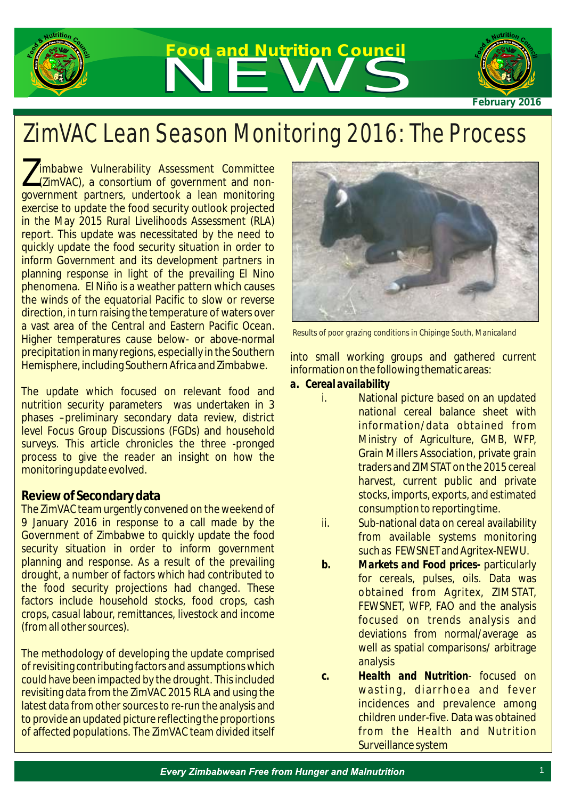

# **Food and Nutrition Council** Food and Nutrition Council



*February 2016*

## ZimVAC Lean Season Monitoring 2016: The Process

Imbabwe Vulnerability Assessment Committee<br>(ZimVAC), a consortium of government and nongovernment partners, undertook a lean monitoring exercise to update the food security outlook projected in the May 2015 Rural Livelihoods Assessment (RLA) report. This update was necessitated by the need to quickly update the food security situation in order to inform Government and its development partners in planning response in light of the prevailing El Nino phenomena. El Niño is a weather pattern which causes the winds of the equatorial Pacific to slow or reverse direction, in turn raising the temperature of waters over a vast area of the Central and Eastern Pacific Ocean. Higher temperatures cause below- or above-normal precipitation in many regions, especially in the Southern Hemisphere, including Southern Africa and Zimbabwe.

The update which focused on relevant food and nutrition security parameters was undertaken in 3 phases –preliminary secondary data review, district level Focus Group Discussions (FGDs) and household surveys. This article chronicles the three -pronged process to give the reader an insight on how the monitoring update evolved.

#### **Review of Secondary data**

The ZimVAC team urgently convened on the weekend of 9 January 2016 in response to a call made by the Government of Zimbabwe to quickly update the food security situation in order to inform government planning and response. As a result of the prevailing drought, a number of factors which had contributed to the food security projections had changed. These factors include household stocks, food crops, cash crops, casual labour, remittances, livestock and income (from all other sources).

The methodology of developing the update comprised of revisiting contributing factors and assumptions which could have been impacted by the drought. This included revisiting data from the ZimVAC 2015 RLA and using the latest data from other sources to re-run the analysis and to provide an updated picture reflecting the proportions of affected populations. The ZimVAC team divided itself



*Results of poor grazing conditions in Chipinge South, Manicaland* 

into small working groups and gathered current information on the following thematic areas:

- *a. Cereal availability*
	- i. National picture based on an updated national cereal balance sheet with information/data obtained from Ministry of Agriculture, GMB, WFP, Grain Millers Association, private grain traders and ZIMSTAT on the 2015 cereal harvest, current public and private stocks, imports, exports, and estimated consumption to reporting time.
	- ii. Sub-national data on cereal availability from available systems monitoring such as FEWSNET and Agritex-NEWU.
	- *b. Markets and Food prices-* particularly for cereals, pulses, oils. Data was obtained from Agritex, ZIMSTAT, FEWSNET, WFP, FAO and the analysis focused on trends analysis and deviations from normal/average as well as spatial comparisons/ arbitrage analysis
	- *c. Health and Nutrition* focused on wasting, diarrhoea and fever incidences and prevalence among children under-five. Data was obtained from the Health and Nutrition Surveillance system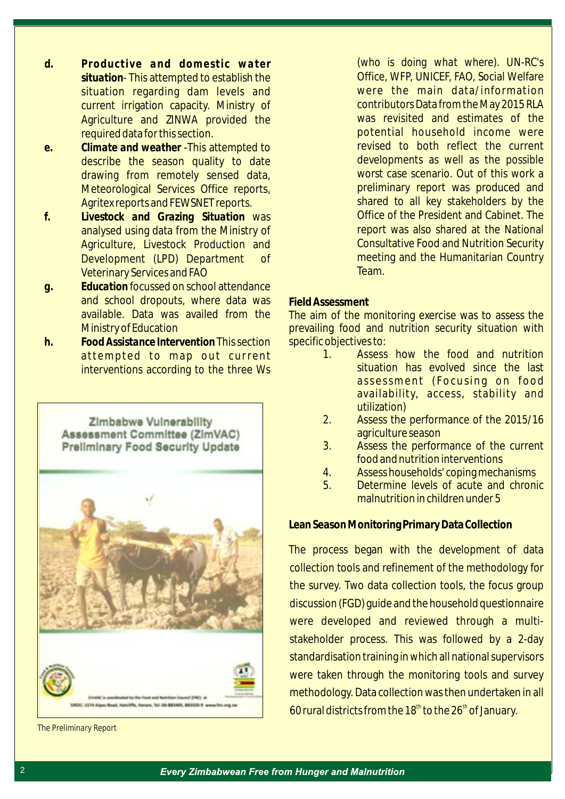- *d. Productive and domestic water situation*- This attempted to establish the situation regarding dam levels and current irrigation capacity. Ministry of Agriculture and ZINWA provided the required data for this section.
- *e. Climate and weather* -This attempted to describe the season quality to date drawing from remotely sensed data, Meteorological Services Office reports, Agritex reports and FEWSNET reports.
- *f. Livestock and Grazing Situation* was analysed using data from the Ministry of Agriculture, Livestock Production and Development (LPD) Department of Veterinary Services and FAO
- *g. Education* focussed on school attendance and school dropouts, where data was available. Data was availed from the Ministry of Education
- *h. Food Assistance Intervention* This section attempted to map out current interventions according to the three Ws



*The Preliminary Report*

(*who is doing what where*). UN-RC's Office, WFP, UNICEF, FAO, Social Welfare were the main data/information contributors Data from the May 2015 RLA was revisited and estimates of the potential household income were revised to both reflect the current developments as well as the possible worst case scenario. Out of this work a preliminary report was produced and shared to all key stakeholders by the Office of the President and Cabinet. The report was also shared at the National Consultative Food and Nutrition Security meeting and the Humanitarian Country Team.

#### **Field Assessment**

The aim of the monitoring exercise was to assess the prevailing food and nutrition security situation with specific objectives to:

- 1. Assess how the food and nutrition situation has evolved since the last assessment (Focusing on food availability, access, stability and utilization)
- 2. Assess the performance of the 2015/16 agriculture season
- 3. Assess the performance of the current food and nutrition interventions
- 4. Assess households' coping mechanisms
- 5. Determine levels of acute and chronic malnutrition in children under 5

#### **Lean Season Monitoring Primary Data Collection**

The process began with the development of data collection tools and refinement of the methodology for the survey. Two data collection tools, the focus group discussion (FGD) guide and the household questionnaire were developed and reviewed through a multistakeholder process. This was followed by a 2-day standardisation training in which all national supervisors were taken through the monitoring tools and survey methodology. Data collection was then undertaken in all 60 rural districts from the 18<sup>th</sup> to the 26<sup>th</sup> of January.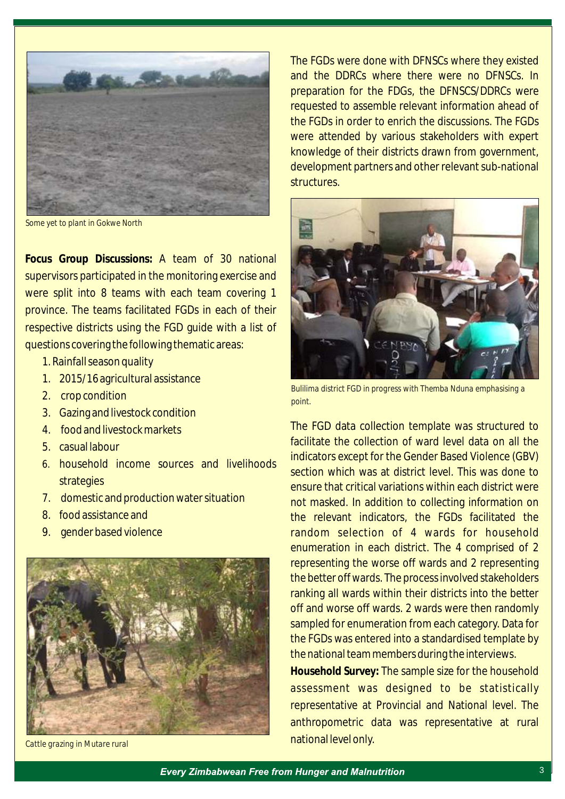

*Some yet to plant in Gokwe North*

**Focus Group Discussions:** A team of 30 national supervisors participated in the monitoring exercise and were split into 8 teams with each team covering 1 province. The teams facilitated FGDs in each of their respective districts using the FGD guide with a list of questions covering the following thematic areas:

- 1. Rainfall season quality
- 1. 2015/16 agricultural assistance
- 2. crop condition
- 3. Gazing and livestock condition
- 4. food and livestock markets
- 5. casual labour
- 6. household income sources and livelihoods strategies
- 7. domestic and production water situation
- 8. food assistance and
- 9. gender based violence



*Cattle grazing in Mutare rural* 

The FGDs were done with DFNSCs where they existed and the DDRCs where there were no DFNSCs. In preparation for the FDGs, the DFNSCS/DDRCs were requested to assemble relevant information ahead of the FGDs in order to enrich the discussions. The FGDs were attended by various stakeholders with expert knowledge of their districts drawn from government, development partners and other relevant sub-national structures.



*Bulilima district FGD in progress with Themba Nduna emphasising a point.* 

The FGD data collection template was structured to facilitate the collection of ward level data on all the indicators except for the Gender Based Violence (GBV) section which was at district level. This was done to ensure that critical variations within each district were not masked. In addition to collecting information on the relevant indicators, the FGDs facilitated the random selection of 4 wards for household enumeration in each district. The 4 comprised of 2 representing the worse off wards and 2 representing the better off wards. The process involved stakeholders ranking all wards within their districts into the better off and worse off wards. 2 wards were then randomly sampled for enumeration from each category. Data for the FGDs was entered into a standardised template by the national team members during the interviews.

**Household Survey:** The sample size for the household assessment was designed to be statistically representative at Provincial and National level. The anthropometric data was representative at rural national level only.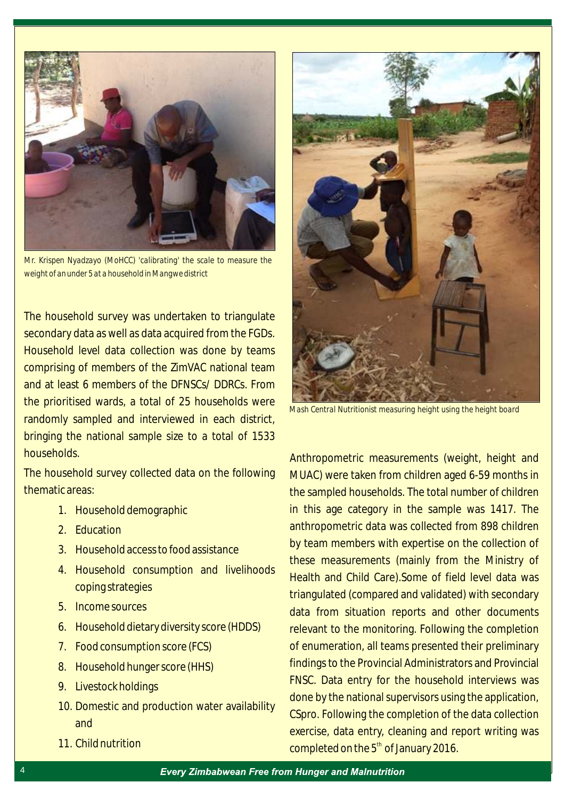

*Mr. Krispen Nyadzayo (MoHCC) 'calibrating' the scale to measure the weight of an under 5 at a household in Mangwe district*

The household survey was undertaken to triangulate secondary data as well as data acquired from the FGDs. Household level data collection was done by teams comprising of members of the ZimVAC national team and at least 6 members of the DFNSCs/ DDRCs. From the prioritised wards, a total of 25 households were randomly sampled and interviewed in each district, bringing the national sample size to a total of 1533 households.

The household survey collected data on the following thematic areas:

- 1. Household demographic
- 2. Education
- 3. Household access to food assistance
- 4. Household consumption and livelihoods coping strategies
- 5. Income sources
- 6. Household dietary diversity score (HDDS)
- 7. Food consumption score (FCS)
- 8. Household hunger score (HHS)
- 9. Livestock holdings
- 10. Domestic and production water availability and
- 11. Child nutrition



*Mash Central Nutritionist measuring height using the height board*

Anthropometric measurements (weight, height and MUAC) were taken from children aged 6-59 months in the sampled households. The total number of children in this age category in the sample was 1417. The anthropometric data was collected from 898 children by team members with expertise on the collection of these measurements (mainly from the Ministry of Health and Child Care).Some of field level data was triangulated (compared and validated) with secondary data from situation reports and other documents relevant to the monitoring. Following the completion of enumeration, all teams presented their preliminary findings to the Provincial Administrators and Provincial FNSC. Data entry for the household interviews was done by the national supervisors using the application, CSpro. Following the completion of the data collection exercise, data entry, cleaning and report writing was completed on the  $5<sup>th</sup>$  of January 2016.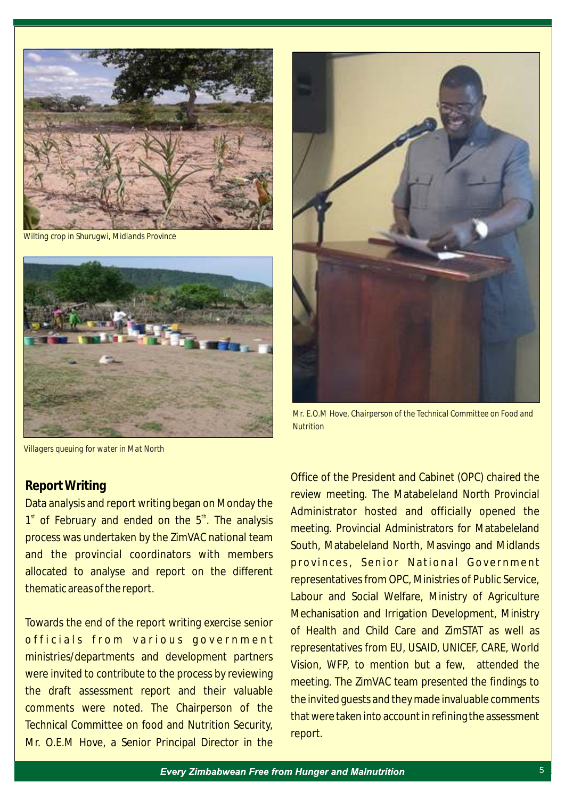

 *Wilting crop in Shurugwi, Midlands Province*





*Mr. E.O.M Hove, Chairperson of the Technical Committee on Food and Nutrition* 

*Villagers queuing for water in Mat North*

#### **Report Writing**

Data analysis and report writing began on Monday the  $1<sup>st</sup>$  of February and ended on the  $5<sup>th</sup>$ . The analysis process was undertaken by the ZimVAC national team and the provincial coordinators with members allocated to analyse and report on the different thematic areas of the report.

Towards the end of the report writing exercise senior officials from various government ministries/departments and development partners were invited to contribute to the process by reviewing the draft assessment report and their valuable comments were noted. The Chairperson of the Technical Committee on food and Nutrition Security, Mr. O.E.M Hove, a Senior Principal Director in the

Office of the President and Cabinet (OPC) chaired the review meeting. The Matabeleland North Provincial Administrator hosted and officially opened the meeting. Provincial Administrators for Matabeleland South, Matabeleland North, Masvingo and Midlands provinces, Senior National Government representatives from OPC, Ministries of Public Service, Labour and Social Welfare, Ministry of Agriculture Mechanisation and Irrigation Development, Ministry of Health and Child Care and ZimSTAT as well as representatives from EU, USAID, UNICEF, CARE, World Vision, WFP, to mention but a few, attended the meeting. The ZimVAC team presented the findings to the invited guests and they made invaluable comments that were taken into account in refining the assessment report.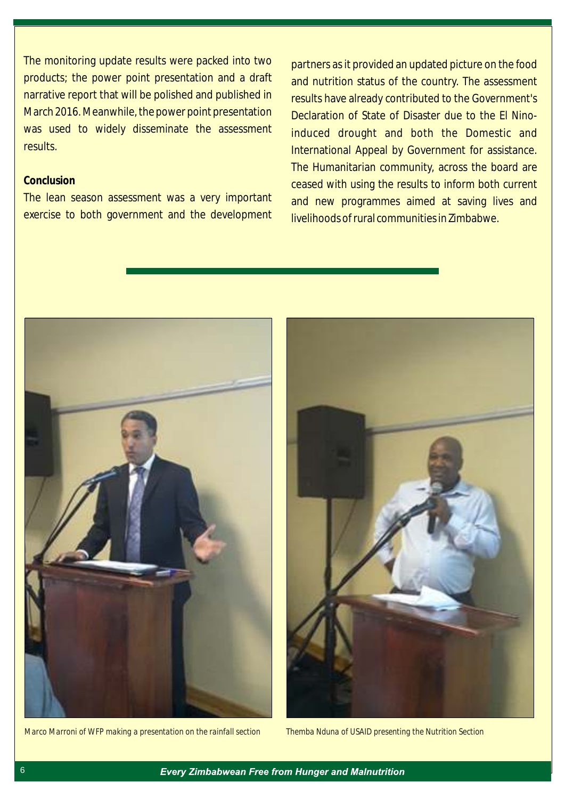The monitoring update results were packed into two products; the power point presentation and a draft narrative report that will be polished and published in March 2016. Meanwhile, the power point presentation was used to widely disseminate the assessment results.

#### **Conclusion**

The lean season assessment was a very important exercise to both government and the development

partners as it provided an updated picture on the food and nutrition status of the country. The assessment results have already contributed to the Government's Declaration of State of Disaster due to the El Ninoinduced drought and both the Domestic and International Appeal by Government for assistance. The Humanitarian community, across the board are ceased with using the results to inform both current and new programmes aimed at saving lives and livelihoods of rural communities in Zimbabwe.



*Marco Marroni of WFP making a presentation on the rainfall section Themba Nduna of USAID presenting the Nutrition Section*

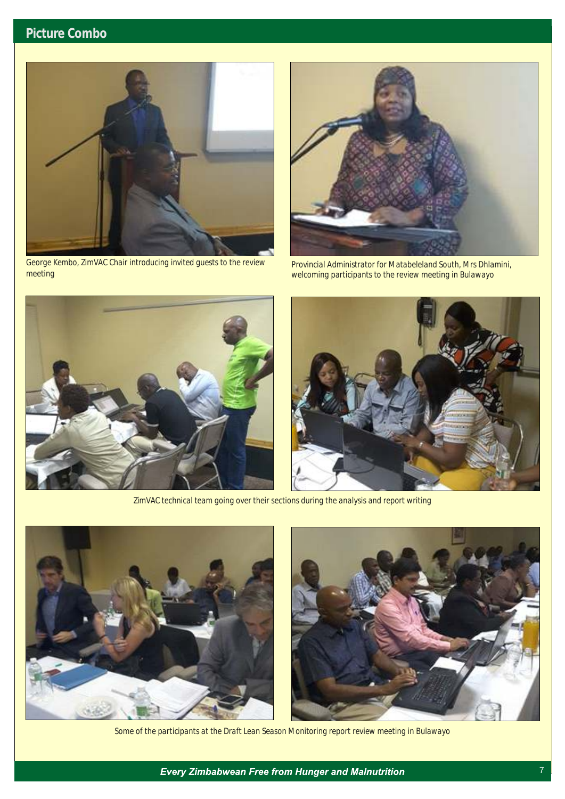

*George Kembo, ZimVAC Chair introducing invited guests to the review meeting*



*Provincial Administrator for Matabeleland South, Mrs Dhlamini, welcoming participants to the review meeting in Bulawayo*



*ZimVAC technical team going over their sections during the analysis and report writing*





*Some of the participants at the Draft Lean Season Monitoring report review meeting in Bulawayo*

**Every Zimbabwean Free from Hunger and Malnutrition**